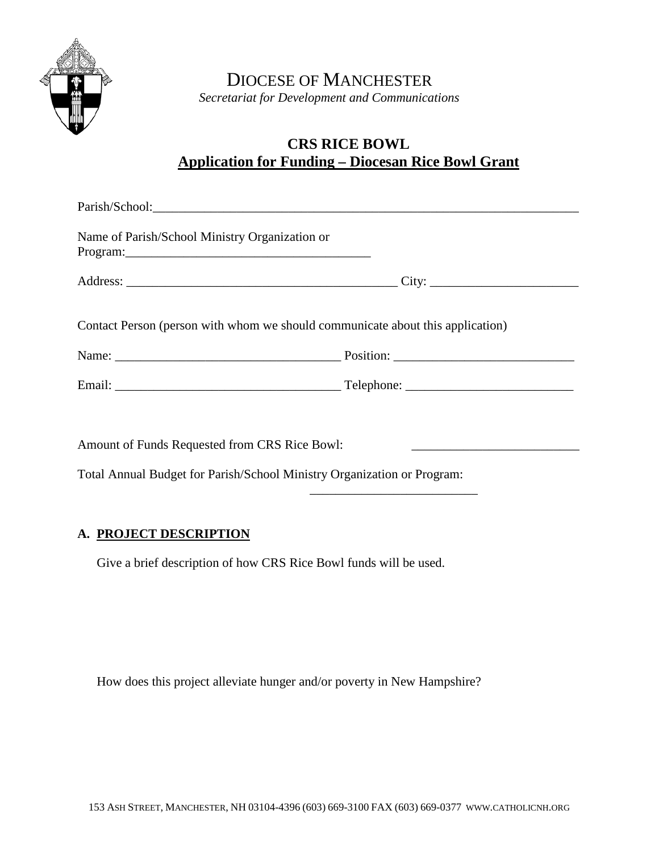

DIOCESE OF MANCHESTER *Secretariat for Development and Communications*

# **CRS RICE BOWL Application for Funding – Diocesan Rice Bowl Grant**

| Name of Parish/School Ministry Organization or<br>Program: 2008 and 2008 and 2008 and 2008 and 2008 and 2008 and 2008 and 2008 and 2008 and 2008 and 2008 and 20 |                                                                                |
|------------------------------------------------------------------------------------------------------------------------------------------------------------------|--------------------------------------------------------------------------------|
|                                                                                                                                                                  |                                                                                |
|                                                                                                                                                                  | Contact Person (person with whom we should communicate about this application) |
|                                                                                                                                                                  |                                                                                |
|                                                                                                                                                                  |                                                                                |
| Amount of Funds Requested from CRS Rice Bowl:                                                                                                                    |                                                                                |
|                                                                                                                                                                  | Total Annual Budget for Parish/School Ministry Organization or Program:        |

\_\_\_\_\_\_\_\_\_\_\_\_\_\_\_\_\_\_\_\_\_\_\_\_\_\_

#### **A. PROJECT DESCRIPTION**

Give a brief description of how CRS Rice Bowl funds will be used.

How does this project alleviate hunger and/or poverty in New Hampshire?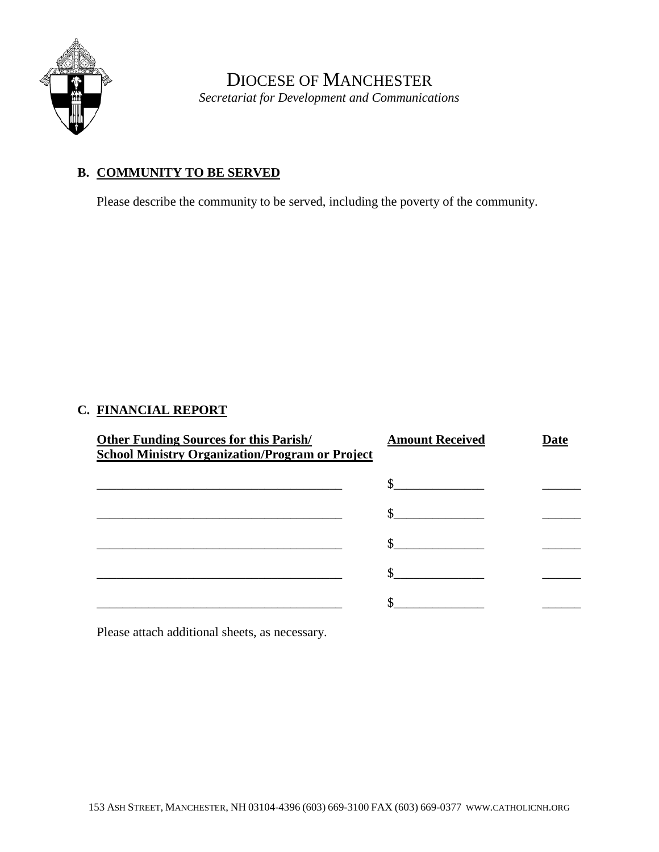

DIOCESE OF MANCHESTER *Secretariat for Development and Communications*

### **B. COMMUNITY TO BE SERVED**

Please describe the community to be served, including the poverty of the community.

## **C. FINANCIAL REPORT**

| <b>Other Funding Sources for this Parish/</b><br><b>School Ministry Organization/Program or Project</b> | <b>Amount Received</b> | Date |
|---------------------------------------------------------------------------------------------------------|------------------------|------|
|                                                                                                         |                        |      |
|                                                                                                         |                        |      |
|                                                                                                         |                        |      |
|                                                                                                         |                        |      |
|                                                                                                         |                        |      |

Please attach additional sheets, as necessary.